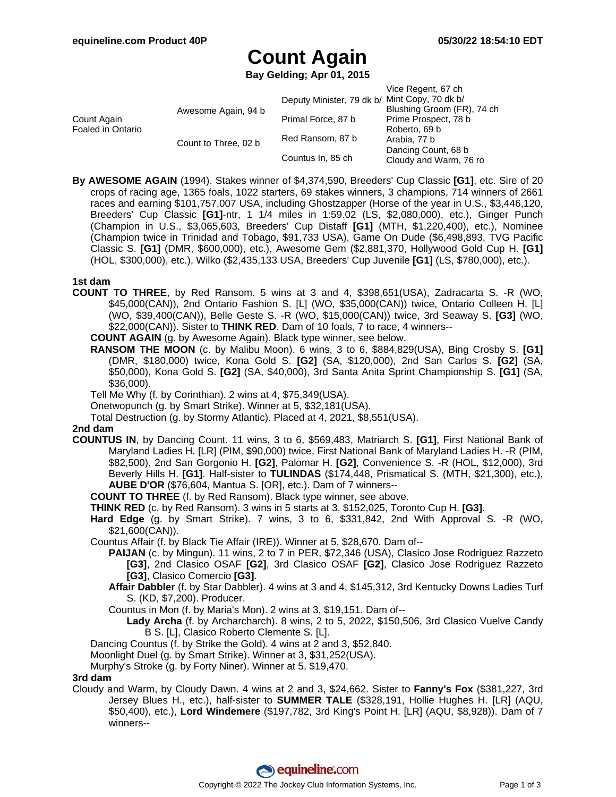# **Count Again**

**Bay Gelding; Apr 01, 2015**

|                                  |                      |                           | Vice Regent, 67 ch         |
|----------------------------------|----------------------|---------------------------|----------------------------|
|                                  |                      | Deputy Minister, 79 dk b/ | Mint Copy, 70 dk b/        |
| Count Again<br>Foaled in Ontario | Awesome Again, 94 b  |                           | Blushing Groom (FR), 74 ch |
|                                  |                      | Primal Force, 87 b        | Prime Prospect, 78 b       |
|                                  |                      |                           | Roberto, 69 b              |
|                                  | Count to Three, 02 b | Red Ransom, 87 b          | Arabia, 77 b               |
|                                  |                      | Countus In, 85 ch         | Dancing Count, 68 b        |
|                                  |                      |                           | Cloudy and Warm, 76 ro     |

**By AWESOME AGAIN** (1994). Stakes winner of \$4,374,590, Breeders' Cup Classic **[G1]**, etc. Sire of 20 crops of racing age, 1365 foals, 1022 starters, 69 stakes winners, 3 champions, 714 winners of 2661 races and earning \$101,757,007 USA, including Ghostzapper (Horse of the year in U.S., \$3,446,120, Breeders' Cup Classic **[G1]**-ntr, 1 1/4 miles in 1:59.02 (LS, \$2,080,000), etc.), Ginger Punch (Champion in U.S., \$3,065,603, Breeders' Cup Distaff **[G1]** (MTH, \$1,220,400), etc.), Nominee (Champion twice in Trinidad and Tobago, \$91,733 USA), Game On Dude (\$6,498,893, TVG Pacific Classic S. **[G1]** (DMR, \$600,000), etc.), Awesome Gem (\$2,881,370, Hollywood Gold Cup H. **[G1]** (HOL, \$300,000), etc.), Wilko (\$2,435,133 USA, Breeders' Cup Juvenile **[G1]** (LS, \$780,000), etc.).

#### **1st dam**

**COUNT TO THREE**, by Red Ransom. 5 wins at 3 and 4, \$398,651(USA), Zadracarta S. -R (WO, \$45,000(CAN)), 2nd Ontario Fashion S. [L] (WO, \$35,000(CAN)) twice, Ontario Colleen H. [L] (WO, \$39,400(CAN)), Belle Geste S. -R (WO, \$15,000(CAN)) twice, 3rd Seaway S. **[G3]** (WO, \$22,000(CAN)). Sister to **THINK RED**. Dam of 10 foals, 7 to race, 4 winners--

**COUNT AGAIN** (g. by Awesome Again). Black type winner, see below.

- **RANSOM THE MOON** (c. by Malibu Moon). 6 wins, 3 to 6, \$884,829(USA), Bing Crosby S. **[G1]** (DMR, \$180,000) twice, Kona Gold S. **[G2]** (SA, \$120,000), 2nd San Carlos S. **[G2]** (SA, \$50,000), Kona Gold S. **[G2]** (SA, \$40,000), 3rd Santa Anita Sprint Championship S. **[G1]** (SA, \$36,000).
- Tell Me Why (f. by Corinthian). 2 wins at 4, \$75,349(USA).

Onetwopunch (g. by Smart Strike). Winner at 5, \$32,181(USA).

Total Destruction (g. by Stormy Atlantic). Placed at 4, 2021, \$8,551(USA).

#### **2nd dam**

**COUNTUS IN**, by Dancing Count. 11 wins, 3 to 6, \$569,483, Matriarch S. **[G1]**, First National Bank of Maryland Ladies H. [LR] (PIM, \$90,000) twice, First National Bank of Maryland Ladies H. -R (PIM, \$82,500), 2nd San Gorgonio H. **[G2]**, Palomar H. **[G2]**, Convenience S. -R (HOL, \$12,000), 3rd Beverly Hills H. **[G1]**. Half-sister to **TULINDAS** (\$174,448, Prismatical S. (MTH, \$21,300), etc.), **AUBE D'OR** (\$76,604, Mantua S. [OR], etc.). Dam of 7 winners--

**COUNT TO THREE** (f. by Red Ransom). Black type winner, see above.

- **THINK RED** (c. by Red Ransom). 3 wins in 5 starts at 3, \$152,025, Toronto Cup H. **[G3]**.
- **Hard Edge** (g. by Smart Strike). 7 wins, 3 to 6, \$331,842, 2nd With Approval S. -R (WO, \$21,600(CAN)).

Countus Affair (f. by Black Tie Affair (IRE)). Winner at 5, \$28,670. Dam of--

- **PAIJAN** (c. by Mingun). 11 wins, 2 to 7 in PER, \$72,346 (USA), Clasico Jose Rodriguez Razzeto **[G3]**, 2nd Clasico OSAF **[G2]**, 3rd Clasico OSAF **[G2]**, Clasico Jose Rodriguez Razzeto **[G3]**, Clasico Comercio **[G3]**.
- **Affair Dabbler** (f. by Star Dabbler). 4 wins at 3 and 4, \$145,312, 3rd Kentucky Downs Ladies Turf S. (KD, \$7,200). Producer.
- Countus in Mon (f. by Maria's Mon). 2 wins at 3, \$19,151. Dam of--
	- **Lady Archa** (f. by Archarcharch). 8 wins, 2 to 5, 2022, \$150,506, 3rd Clasico Vuelve Candy B S. [L], Clasico Roberto Clemente S. [L].
- Dancing Countus (f. by Strike the Gold). 4 wins at 2 and 3, \$52,840.
- Moonlight Duel (g. by Smart Strike). Winner at 3, \$31,252(USA).
- Murphy's Stroke (g. by Forty Niner). Winner at 5, \$19,470.

#### **3rd dam**

Cloudy and Warm, by Cloudy Dawn. 4 wins at 2 and 3, \$24,662. Sister to **Fanny's Fox** (\$381,227, 3rd Jersey Blues H., etc.), half-sister to **SUMMER TALE** (\$328,191, Hollie Hughes H. [LR] (AQU, \$50,400), etc.), **Lord Windemere** (\$197,782, 3rd King's Point H. [LR] (AQU, \$8,928)). Dam of 7 winners--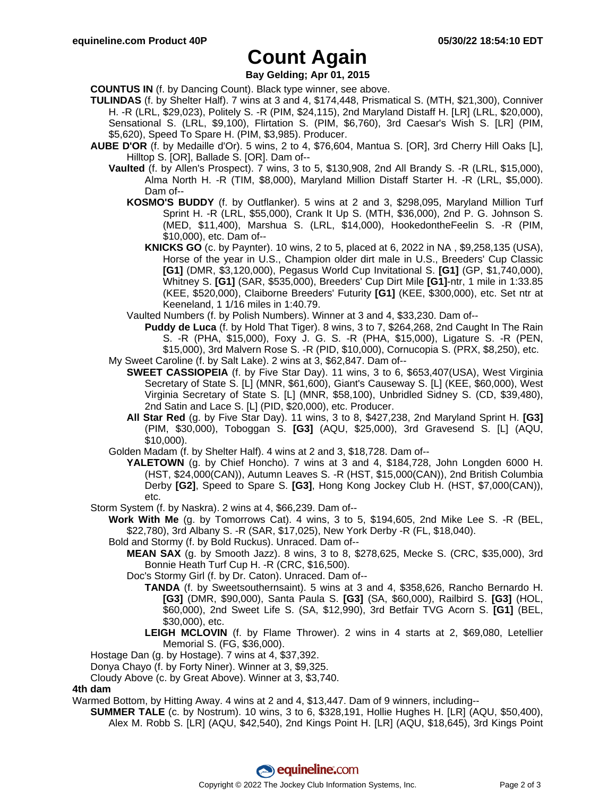## **Count Again**

**Bay Gelding; Apr 01, 2015**

**COUNTUS IN** (f. by Dancing Count). Black type winner, see above.

- **TULINDAS** (f. by Shelter Half). 7 wins at 3 and 4, \$174,448, Prismatical S. (MTH, \$21,300), Conniver H. -R (LRL, \$29,023), Politely S. -R (PIM, \$24,115), 2nd Maryland Distaff H. [LR] (LRL, \$20,000), Sensational S. (LRL, \$9,100), Flirtation S. (PIM, \$6,760), 3rd Caesar's Wish S. [LR] (PIM, \$5,620), Speed To Spare H. (PIM, \$3,985). Producer.
- **AUBE D'OR** (f. by Medaille d'Or). 5 wins, 2 to 4, \$76,604, Mantua S. [OR], 3rd Cherry Hill Oaks [L], Hilltop S. [OR], Ballade S. [OR]. Dam of--
	- **Vaulted** (f. by Allen's Prospect). 7 wins, 3 to 5, \$130,908, 2nd All Brandy S. -R (LRL, \$15,000), Alma North H. -R (TIM, \$8,000), Maryland Million Distaff Starter H. -R (LRL, \$5,000). Dam of--
		- **KOSMO'S BUDDY** (f. by Outflanker). 5 wins at 2 and 3, \$298,095, Maryland Million Turf Sprint H. -R (LRL, \$55,000), Crank It Up S. (MTH, \$36,000), 2nd P. G. Johnson S. (MED, \$11,400), Marshua S. (LRL, \$14,000), HookedontheFeelin S. -R (PIM, \$10,000), etc. Dam of--
			- **KNICKS GO** (c. by Paynter). 10 wins, 2 to 5, placed at 6, 2022 in NA , \$9,258,135 (USA), Horse of the year in U.S., Champion older dirt male in U.S., Breeders' Cup Classic **[G1]** (DMR, \$3,120,000), Pegasus World Cup Invitational S. **[G1]** (GP, \$1,740,000), Whitney S. **[G1]** (SAR, \$535,000), Breeders' Cup Dirt Mile **[G1]**-ntr, 1 mile in 1:33.85 (KEE, \$520,000), Claiborne Breeders' Futurity **[G1]** (KEE, \$300,000), etc. Set ntr at Keeneland, 1 1/16 miles in 1:40.79.
		- Vaulted Numbers (f. by Polish Numbers). Winner at 3 and 4, \$33,230. Dam of--

**Puddy de Luca** (f. by Hold That Tiger). 8 wins, 3 to 7, \$264,268, 2nd Caught In The Rain S. -R (PHA, \$15,000), Foxy J. G. S. -R (PHA, \$15,000), Ligature S. -R (PEN, \$15,000), 3rd Malvern Rose S. -R (PID, \$10,000), Cornucopia S. (PRX, \$8,250), etc. My Sweet Caroline (f. by Salt Lake). 2 wins at 3, \$62,847. Dam of--

- **SWEET CASSIOPEIA** (f. by Five Star Day). 11 wins, 3 to 6, \$653,407(USA), West Virginia Secretary of State S. [L] (MNR, \$61,600), Giant's Causeway S. [L] (KEE, \$60,000), West Virginia Secretary of State S. [L] (MNR, \$58,100), Unbridled Sidney S. (CD, \$39,480), 2nd Satin and Lace S. [L] (PID, \$20,000), etc. Producer.
	- **All Star Red** (g. by Five Star Day). 11 wins, 3 to 8, \$427,238, 2nd Maryland Sprint H. **[G3]** (PIM, \$30,000), Toboggan S. **[G3]** (AQU, \$25,000), 3rd Gravesend S. [L] (AQU, \$10,000).
- Golden Madam (f. by Shelter Half). 4 wins at 2 and 3, \$18,728. Dam of--
	- **YALETOWN** (g. by Chief Honcho). 7 wins at 3 and 4, \$184,728, John Longden 6000 H. (HST, \$24,000(CAN)), Autumn Leaves S. -R (HST, \$15,000(CAN)), 2nd British Columbia Derby **[G2]**, Speed to Spare S. **[G3]**, Hong Kong Jockey Club H. (HST, \$7,000(CAN)), etc.
- Storm System (f. by Naskra). 2 wins at 4, \$66,239. Dam of--

**Work With Me** (g. by Tomorrows Cat). 4 wins, 3 to 5, \$194,605, 2nd Mike Lee S. -R (BEL, \$22,780), 3rd Albany S. -R (SAR, \$17,025), New York Derby -R (FL, \$18,040).

Bold and Stormy (f. by Bold Ruckus). Unraced. Dam of--

**MEAN SAX** (g. by Smooth Jazz). 8 wins, 3 to 8, \$278,625, Mecke S. (CRC, \$35,000), 3rd Bonnie Heath Turf Cup H. -R (CRC, \$16,500).

Doc's Stormy Girl (f. by Dr. Caton). Unraced. Dam of--

- **TANDA** (f. by Sweetsouthernsaint). 5 wins at 3 and 4, \$358,626, Rancho Bernardo H. **[G3]** (DMR, \$90,000), Santa Paula S. **[G3]** (SA, \$60,000), Railbird S. **[G3]** (HOL, \$60,000), 2nd Sweet Life S. (SA, \$12,990), 3rd Betfair TVG Acorn S. **[G1]** (BEL, \$30,000), etc.
- **LEIGH MCLOVIN** (f. by Flame Thrower). 2 wins in 4 starts at 2, \$69,080, Letellier Memorial S. (FG, \$36,000).

Hostage Dan (g. by Hostage). 7 wins at 4, \$37,392.

Donya Chayo (f. by Forty Niner). Winner at 3, \$9,325.

Cloudy Above (c. by Great Above). Winner at 3, \$3,740.

#### **4th dam**

Warmed Bottom, by Hitting Away. 4 wins at 2 and 4, \$13,447. Dam of 9 winners, including--

**SUMMER TALE** (c. by Nostrum). 10 wins, 3 to 6, \$328,191, Hollie Hughes H. [LR] (AQU, \$50,400), Alex M. Robb S. [LR] (AQU, \$42,540), 2nd Kings Point H. [LR] (AQU, \$18,645), 3rd Kings Point